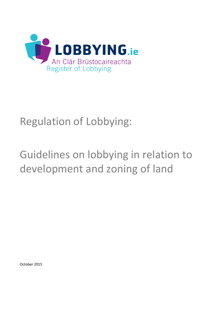

## Regulation of Lobbying:

# Guidelines on lobbying in relation to development and zoning of land

October 2015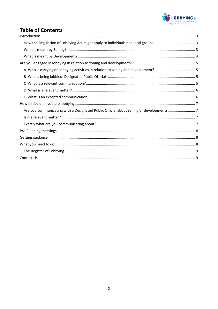

#### **Table of Contents**  $\mathbf{r}$  $\sim$  $\ddot{\phantom{a}}$

| Are you communicating with a Designated Public Official about zoning or development? |  |
|--------------------------------------------------------------------------------------|--|
|                                                                                      |  |
|                                                                                      |  |
|                                                                                      |  |
|                                                                                      |  |
|                                                                                      |  |
|                                                                                      |  |
|                                                                                      |  |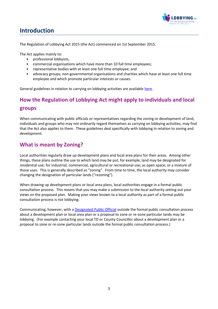

## <span id="page-2-0"></span>**Introduction**

The Regulation of Lobbying Act 2015 (the Act) commenced on 1st September 2015.

The Act applies mainly to:

- professional lobbyists,
- commercial organisations which have more than 10 full time employees;
- representative bodies with at least one full time employee; and
- advocacy groups, non-governmental organisations and charities which have at least one full time employee and which promote particular interests or causes.

General guidelines in relation to carrying on lobbying activities are availabl[e here.](https://www.lobbying.ie/help-resources/information-for-lobbyists/guidelines-for-people-carrying-on-lobbying-activities/)

## <span id="page-2-1"></span>**How the Regulation of Lobbying Act might apply to individuals and local groups**

When communicating with public officials or representatives regarding the zoning or development of land, individuals and groups who may not ordinarily regard themselves as carrying on lobbying activities, may find that the Act also applies to them. These guidelines deal specifically with lobbying in relation to zoning and development.

#### <span id="page-2-2"></span>**What is meant by Zoning?**

Local authorities regularly draw up development plans and local area plans for their areas. Among other things, these plans outline the use to which land may be put, for example, land may be designated for residential use; for industrial, commercial, agricultural or recreational use; as open space; or a mixture of those uses. This is generally described as "zoning". From time to time, the local authority may consider changing the designation of particular lands ("rezoning").

When drawing up development plans or local area plans, local authorities engage in a formal public consultation process. This means that you may make a submission to the local authority setting out your views on the proposed plan. Making your views known to a local authority as part of a formal public consultation process is not lobbying.

Communicating, however, with a [Designated Public Official](https://www.lobbying.ie/help-resources/information-for-lobbyists/guidelines-for-people-carrying-on-lobbying-activities/are-you-affected-by-the-legislation/#B.) outside the formal public consultation process about a development plan or local area plan or a proposal to zone or re-zone particular lands may be lobbying. (For example contacting your local TD or County Councillor about a development plan or a proposal to zone or re-zone particular lands outside the formal public consultation process.)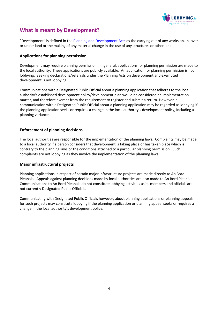

### <span id="page-3-0"></span>**What is meant by Development?**

"Development" is defined in the [Planning and Development Acts](http://www.irishstatutebook.ie/2000/en/act/pub/0030/index.html) as the carrying out of any works on, in, over or under land or the making of any material change in the use of any structures or other land.

#### **Applications for planning permission**

Development may require planning permission. In general, applications for planning permission are made to the local authority. These applications are publicly available. An application for planning permission is not lobbying. Seeking declarations/referrals under the Planning Acts on development and exempted development is not lobbying.

Communications with a Designated Public Official about a planning application that adheres to the local authority's established development policy/development plan would be considered an implementation matter, and therefore exempt from the requirement to register and submit a return. However, a communication with a Designated Public Official about a planning application may be regarded as lobbying if the planning application seeks or requires a change in the local authority's development policy, including a planning variance.

#### **Enforcement of planning decisions**

The local authorities are responsible for the implementation of the planning laws. Complaints may be made to a local authority if a person considers that development is taking place or has taken place which is contrary to the planning laws or the conditions attached to a particular planning permission. Such complaints are not lobbying as they involve the implementation of the planning laws.

#### **Major infrastructural projects**

Planning applications in respect of certain major infrastructure projects are made directly to An Bord Pleanála. Appeals against planning decisions made by local authorities are also made to An Bord Pleanála. Communications to An Bord Pleanála do not constitute lobbying activities as its members and officials are not currently Designated Public Officials.

Communicating with Designated Public Officials however, about planning applications or planning appeals for such projects may constitute lobbying if the planning application or planning appeal seeks or requires a change in the local authority's development policy.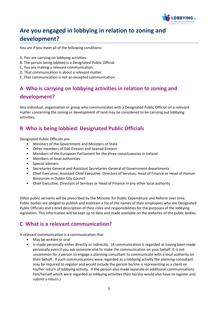

## <span id="page-4-0"></span>**Are you engaged in lobbying in relation to zoning and development?**

You are if you meet all of the following conditions:

- A. You are carrying on lobbying activities.
- B. The person being lobbied is a Designated Public Official.
- C. You are making a relevant communication.
- D. That communication is about a relevant matter.
- E. That communication is not an excepted communication.

## <span id="page-4-1"></span>**A Who is carrying on lobbying activities in relation to zoning and development?**

Any individual, organisation or group who communicates with a Designated Public Official on a relevant matter concerning the zoning or development of land may be considered to be carrying out lobbying activities.

#### <span id="page-4-2"></span>**B Who is being lobbied: Designated Public Officials**

Designated Public Officials are:

- Ministers of the Government and Ministers of State
- Other members of Dáil Éireann and Seanad Éireann
- Members of the European Parliament for the three constituencies in Ireland
- Members of local authorities
- Special advisers
- Secretaries-General and Assistant Secretaries-General of Government departments
- Chief Executive, Assistant Chief Executive, Directors of Services, Head of Finance or Head of Human Resources in Dublin City Council
- Chief Executive, Directors of Services or Head of Finance in any other local authority

Other public servants will be prescribed by the Minister for Public Expenditure and Reform over time. Public bodies are obliged to publish and maintain a list of the names of their employees who are Designated Public Officials and a brief description of their roles and responsibilities for the purposes of the lobbying legislation. This information will be kept up to date and made available on the websites of the public bodies.

#### <span id="page-4-3"></span>**C What is a relevant communication?**

A relevant communication is a communication that

- May be written or oral
- Is made personally either directly or indirectly. (A communication is regarded as having been made personally even if you ask someone else to make the communication on your behalf. It is not uncommon for a person to engage a planning consultant to communicate with a local authority on their behalf. If such communications were regarded as a lobbying activity the planning consultant may be required to register and would include the person he/she is representing as a client on his/her return of lobbying activity. If the person also made separate or additional communications him/herself which were regarded as lobbying activities then he/she would also have to register and submit a return.)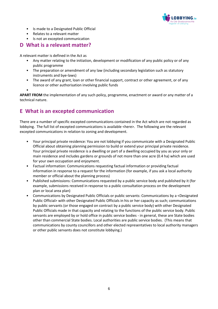

- Is made to a Designated Public Official
- Relates to a relevant matter

## • Is not an excepted communication

#### <span id="page-5-0"></span>**D What is a relevant matter?**

A relevant matter is defined in the Act as

- Any matter relating to the initiation, development or modification of any public policy or of any public programme
- The preparation or amendment of any law (including secondary legislation such as statutory instruments and bye-laws)
- The award of any grant, loan or other financial support, contract or other agreement, or of any licence or other authorisation involving public funds
- •

**APART FROM** the implementation of any such policy, programme, enactment or award or any matter of a technical nature.

#### <span id="page-5-1"></span>**E What is an excepted communication**

There are a number of specific excepted communications contained in the Act which are not regarded as lobbying. The full list of excepted communications is available <here>. The following are the relevant excepted communications in relation to zoning and development.

- Your principal private residence: You are not lobbying if you communicate with a Designated Public Official about obtaining planning permission to build or extend your principal private residence. Your principal private residence is a dwelling or part of a dwelling occupied by you as your only or main residence and includes gardens or grounds of not more than one acre (0.4 ha) which are used for your own occupation and enjoyment.
- Factual information: Communications requesting factual information or providing factual information in response to a request for the information (for example, if you ask a local authority member or official about the planning process)
- Published submissions: Communications requested by a public service body and published by it (for example, submissions received in response to a public consultation process on the development plan or local area plan)
- Communications by Designated Public Officials or public servants: Communications by a <Designated Public Official> with other Designated Public Officials in his or her capacity as such; communications by public servants (or those engaged on contract by a public service body) with other Designated Public Officials made in that capacity and relating to the functions of the public service body. Public servants are employed by or hold office in public service bodies - in general, these are State bodies other than commercial State bodies. Local authorities are public service bodies. (This means that communications by county councillors and other elected representatives to local authority managers or other public servants does not constitute lobbying.)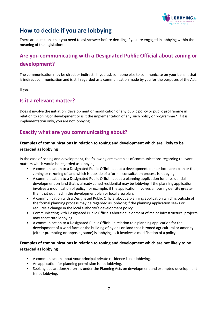

## <span id="page-6-0"></span>**How to decide if you are lobbying**

There are questions that you need to ask/answer before deciding if you are engaged in lobbying within the meaning of the legislation:

## <span id="page-6-1"></span>**Are you communicating with a Designated Public Official about zoning or development?**

The communication may be direct or indirect. If you ask someone else to communicate on your behalf, that is indirect communication and is still regarded as a communication made by you for the purposes of the Act.

If yes,

#### <span id="page-6-2"></span>**Is it a relevant matter?**

Does it involve the initiation, development or modification of any public policy or public programme in relation to zoning or development or is it the implementation of any such policy or programme? If it is implementation only, you are not lobbying.

#### <span id="page-6-3"></span>**Exactly what are you communicating about?**

#### **Examples of communications in relation to zoning and development which are likely to be regarded as lobbying**

In the case of zoning and development, the following are examples of communications regarding relevant matters which would be regarded as lobbying:

- A communication to a Designated Public Official about a development plan or local area plan or the zoning or rezoning of land which is outside of a formal consultation process is lobbying.
- A communication to a Designated Public Official about a planning application for a residential development on land that is already zoned residential may be lobbying if the planning application involves a modification of policy, for example, if the application involves a housing density greater than that outlined in the development plan or local area plan.
- A communication with a Designated Public Official about a planning application which is outside of the formal planning process may be regarded as lobbying if the planning application seeks or requires a change in the local authority's development policy.
- Communicating with Designated Public Officials about development of major infrastructural projects may constitute lobbying.
- A communication to a Designated Public Official in relation to a planning application for the development of a wind farm or the building of pylons on land that is zoned agricultural or amenity (either promoting or opposing same) is lobbying as it involves a modification of a policy.

#### **Examples of communications in relation to zoning and development which are not likely to be regarded as lobbying**

- A communication about your principal private residence is not lobbying.
- An application for planning permission is not lobbying.
- Seeking declarations/referrals under the Planning Acts on development and exempted development is not lobbying.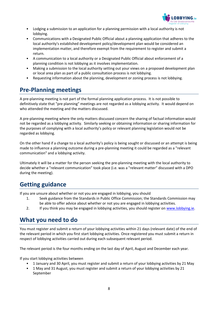

- Lodging a submission to an application for a planning permission with a local authority is not lobbying.
- Communications with a Designated Public Official about a planning application that adheres to the local authority's established development policy/development plan would be considered an implementation matter, and therefore exempt from the requirement to register and submit a return.
- A communication to a local authority or a Designated Public Official about enforcement of a planning condition is not lobbying as it involves implementation.
- Making a submission to the local authority setting out your views on a proposed development plan or local area plan as part of a public consultation process is not lobbying.
- Requesting information about the planning, development or zoning process is not lobbying.

## <span id="page-7-0"></span>**Pre-Planning meetings**

A pre-planning meeting is not part of the formal planning application process. It is not possible to definitively state that "pre planning" meetings are not regarded as a lobbying activity. It would depend on who attended the meeting and the matters discussed.

A pre-planning meeting where the only matters discussed concern the sharing of factual information would not be regarded as a lobbying activity. Similarly seeking or obtaining information or sharing information for the purposes of complying with a local authority's policy or relevant planning legislation would not be regarded as lobbying.

On the other hand if a change to a local authority's policy is being sought or discussed or an attempt is being made to influence a planning outcome during a pre-planning meeting it could be regarded as a "relevant communication" and a lobbying activity.

Ultimately it will be a matter for the person seeking the pre-planning meeting with the local authority to decide whether a "relevant communication" took place (i.e. was a "relevant matter" discussed with a DPO during the meeting).

## <span id="page-7-1"></span>**Getting guidance**

If you are unsure about whether or not you are engaged in lobbying, you should

- 1. Seek guidance from the Standards in Public Office Commission; the Standards Commission may be able to offer advice about whether or not you are engaged in lobbying activities.
- 2. If you think you may be engaged in lobbying activities, you should register o[n www.lobbying.ie.](http://www.lobbying.ie/)

## <span id="page-7-2"></span>**What you need to do**

You must register and submit a return of your lobbying activities within 21 days (relevant date) of the end of the relevant period in which you first start lobbying activities. Once registered you must submit a return in respect of lobbying activities carried out during each subsequent relevant period.

The relevant period is the four months ending on the last day of April, August and December each year.

If you start lobbying activities between

- 1 January and 30 April, you must register and submit a return of your lobbying activities by 21 May
- 1 May and 31 August, you must register and submit a return of your lobbying activities by 21 September